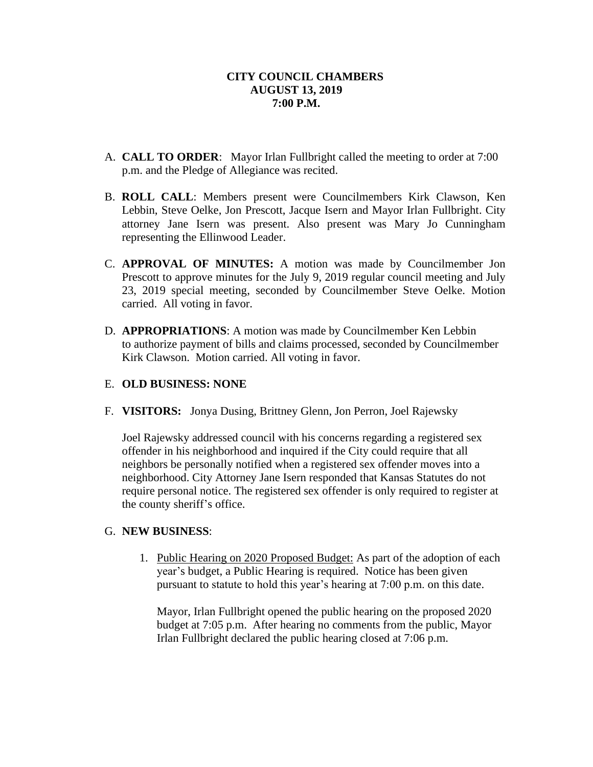- A. **CALL TO ORDER**: Mayor Irlan Fullbright called the meeting to order at 7:00 p.m. and the Pledge of Allegiance was recited.
- B. **ROLL CALL**: Members present were Councilmembers Kirk Clawson, Ken Lebbin, Steve Oelke, Jon Prescott, Jacque Isern and Mayor Irlan Fullbright. City attorney Jane Isern was present. Also present was Mary Jo Cunningham representing the Ellinwood Leader.
- C. **APPROVAL OF MINUTES:** A motion was made by Councilmember Jon Prescott to approve minutes for the July 9, 2019 regular council meeting and July 23, 2019 special meeting, seconded by Councilmember Steve Oelke. Motion carried. All voting in favor.
- D. **APPROPRIATIONS**: A motion was made by Councilmember Ken Lebbin to authorize payment of bills and claims processed, seconded by Councilmember Kirk Clawson. Motion carried. All voting in favor.

# E. **OLD BUSINESS: NONE**

F. **VISITORS:** Jonya Dusing, Brittney Glenn, Jon Perron, Joel Rajewsky

Joel Rajewsky addressed council with his concerns regarding a registered sex offender in his neighborhood and inquired if the City could require that all neighbors be personally notified when a registered sex offender moves into a neighborhood. City Attorney Jane Isern responded that Kansas Statutes do not require personal notice. The registered sex offender is only required to register at the county sheriff's office.

#### G. **NEW BUSINESS**:

1. Public Hearing on 2020 Proposed Budget: As part of the adoption of each year's budget, a Public Hearing is required. Notice has been given pursuant to statute to hold this year's hearing at 7:00 p.m. on this date.

Mayor, Irlan Fullbright opened the public hearing on the proposed 2020 budget at 7:05 p.m. After hearing no comments from the public, Mayor Irlan Fullbright declared the public hearing closed at 7:06 p.m.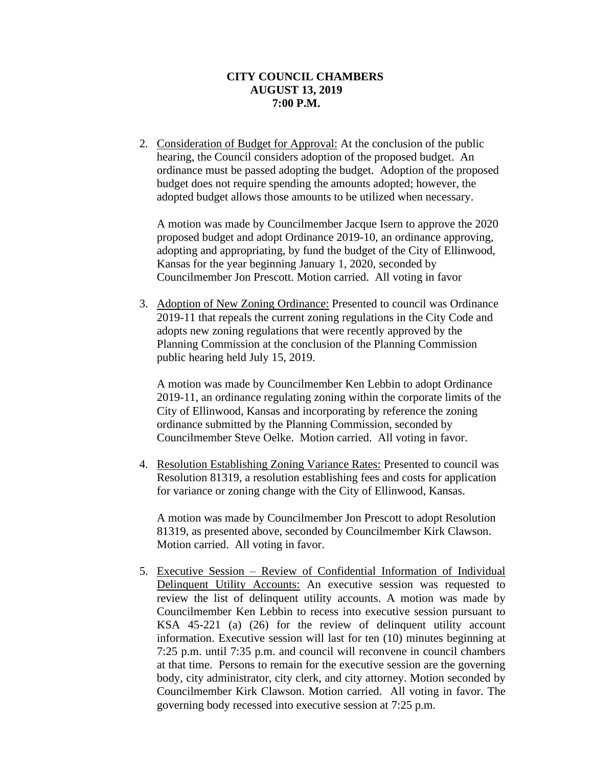2. Consideration of Budget for Approval: At the conclusion of the public hearing, the Council considers adoption of the proposed budget. An ordinance must be passed adopting the budget. Adoption of the proposed budget does not require spending the amounts adopted; however, the adopted budget allows those amounts to be utilized when necessary.

A motion was made by Councilmember Jacque Isern to approve the 2020 proposed budget and adopt Ordinance 2019-10, an ordinance approving, adopting and appropriating, by fund the budget of the City of Ellinwood, Kansas for the year beginning January 1, 2020, seconded by Councilmember Jon Prescott. Motion carried. All voting in favor

3. Adoption of New Zoning Ordinance: Presented to council was Ordinance 2019-11 that repeals the current zoning regulations in the City Code and adopts new zoning regulations that were recently approved by the Planning Commission at the conclusion of the Planning Commission public hearing held July 15, 2019.

A motion was made by Councilmember Ken Lebbin to adopt Ordinance 2019-11, an ordinance regulating zoning within the corporate limits of the City of Ellinwood, Kansas and incorporating by reference the zoning ordinance submitted by the Planning Commission, seconded by Councilmember Steve Oelke. Motion carried. All voting in favor.

4. Resolution Establishing Zoning Variance Rates: Presented to council was Resolution 81319, a resolution establishing fees and costs for application for variance or zoning change with the City of Ellinwood, Kansas.

A motion was made by Councilmember Jon Prescott to adopt Resolution 81319, as presented above, seconded by Councilmember Kirk Clawson. Motion carried. All voting in favor.

5. Executive Session – Review of Confidential Information of Individual Delinquent Utility Accounts: An executive session was requested to review the list of delinquent utility accounts. A motion was made by Councilmember Ken Lebbin to recess into executive session pursuant to KSA 45-221 (a) (26) for the review of delinquent utility account information. Executive session will last for ten (10) minutes beginning at 7:25 p.m. until 7:35 p.m. and council will reconvene in council chambers at that time. Persons to remain for the executive session are the governing body, city administrator, city clerk, and city attorney. Motion seconded by Councilmember Kirk Clawson. Motion carried. All voting in favor. The governing body recessed into executive session at 7:25 p.m.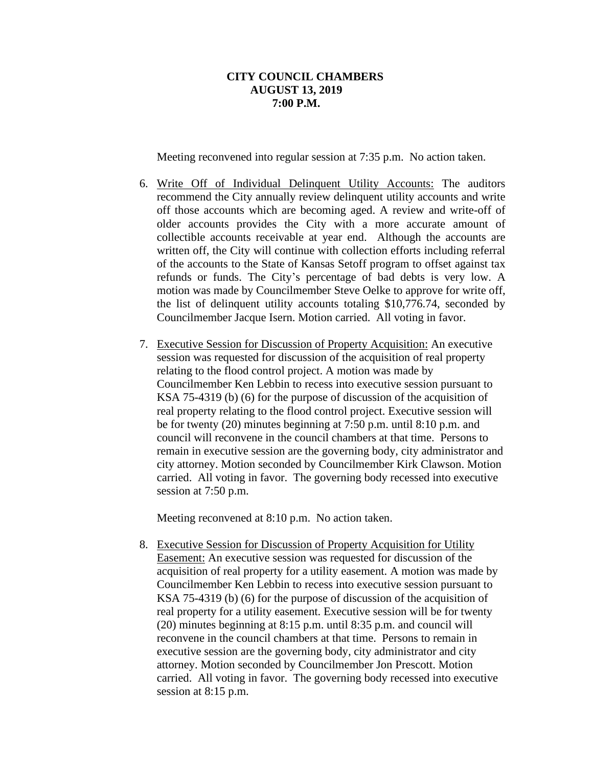Meeting reconvened into regular session at 7:35 p.m. No action taken.

- 6. Write Off of Individual Delinquent Utility Accounts: The auditors recommend the City annually review delinquent utility accounts and write off those accounts which are becoming aged. A review and write-off of older accounts provides the City with a more accurate amount of collectible accounts receivable at year end. Although the accounts are written off, the City will continue with collection efforts including referral of the accounts to the State of Kansas Setoff program to offset against tax refunds or funds. The City's percentage of bad debts is very low. A motion was made by Councilmember Steve Oelke to approve for write off, the list of delinquent utility accounts totaling \$10,776.74, seconded by Councilmember Jacque Isern. Motion carried. All voting in favor.
- 7. Executive Session for Discussion of Property Acquisition: An executive session was requested for discussion of the acquisition of real property relating to the flood control project. A motion was made by Councilmember Ken Lebbin to recess into executive session pursuant to KSA 75-4319 (b) (6) for the purpose of discussion of the acquisition of real property relating to the flood control project. Executive session will be for twenty (20) minutes beginning at 7:50 p.m. until 8:10 p.m. and council will reconvene in the council chambers at that time. Persons to remain in executive session are the governing body, city administrator and city attorney. Motion seconded by Councilmember Kirk Clawson. Motion carried. All voting in favor. The governing body recessed into executive session at 7:50 p.m.

Meeting reconvened at 8:10 p.m. No action taken.

8. Executive Session for Discussion of Property Acquisition for Utility Easement: An executive session was requested for discussion of the acquisition of real property for a utility easement. A motion was made by Councilmember Ken Lebbin to recess into executive session pursuant to KSA 75-4319 (b) (6) for the purpose of discussion of the acquisition of real property for a utility easement. Executive session will be for twenty (20) minutes beginning at 8:15 p.m. until 8:35 p.m. and council will reconvene in the council chambers at that time. Persons to remain in executive session are the governing body, city administrator and city attorney. Motion seconded by Councilmember Jon Prescott. Motion carried. All voting in favor. The governing body recessed into executive session at 8:15 p.m.